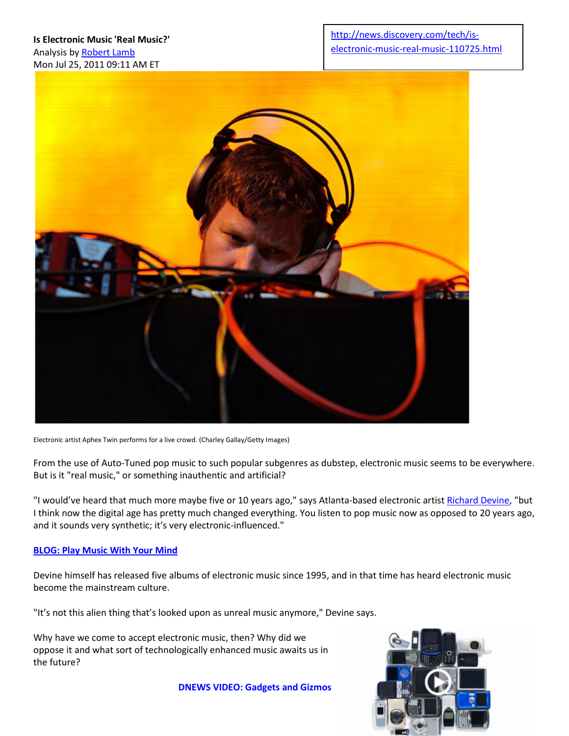

Electronic artist Aphex Twin performs for a live crowd. (Charley Gallay/Getty Images)

From the use of Auto-Tuned pop music to such popular subgenres as dubstep, electronic music seems to be everywhere. But is it "real music," or something inauthentic and artificial?

"I would've heard that much more maybe five or 10 years ago," says Atlanta-based electronic artist [Richard Devine,](http://news.discovery.com/space/space-music-the-alien-sounds-of-richard-devine.html) "but I think now the digital age has pretty much changed everything. You listen to pop music now as opposed to 20 years ago, and it sounds very synthetic; it's very electronic-influenced."

#### **[BLOG: Play Music With Your Mind](http://news.discovery.com/tech/play-music-with-your-mind-110325.html)**

Devine himself has released five albums of electronic music since 1995, and in that time has heard electronic music become the mainstream culture.

"It's not this alien thing that's looked upon as unreal music anymore," Devine says.

Why have we come to accept electronic music, then? Why did we oppose it and what sort of technologically enhanced music awaits us in the future?

**[DNEWS VIDEO: Gadgets and Gizmos](http://news.discovery.com/tech/%20http:/news.discovery.com/videos/gadgets-technology/)** 

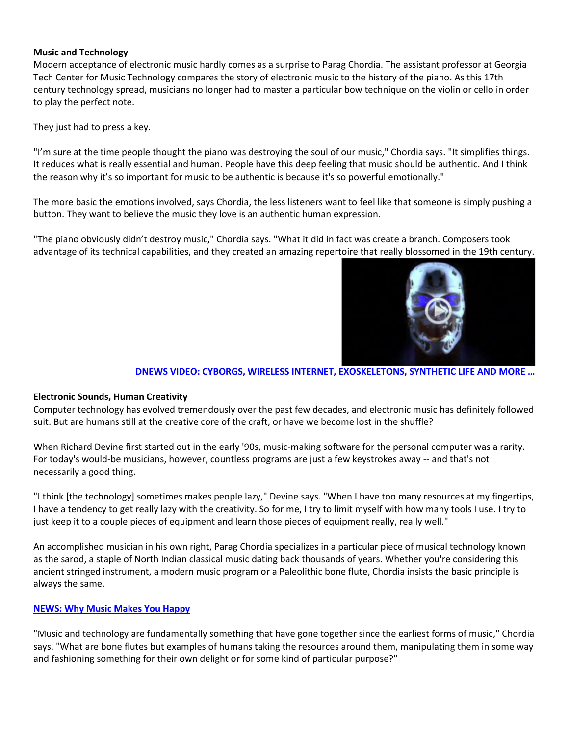## **Music and Technology**

Modern acceptance of electronic music hardly comes as a surprise to Parag Chordia. The assistant professor at Georgia Tech Center for Music Technology compares the story of electronic music to the history of the piano. As this 17th century technology spread, musicians no longer had to master a particular bow technique on the violin or cello in order to play the perfect note.

They just had to press a key.

"I'm sure at the time people thought the piano was destroying the soul of our music," Chordia says. "It simplifies things. It reduces what is really essential and human. People have this deep feeling that music should be authentic. And I think the reason why it's so important for music to be authentic is because it's so powerful emotionally."

The more basic the emotions involved, says Chordia, the less listeners want to feel like that someone is simply pushing a button. They want to believe the music they love is an authentic human expression.

"The piano obviously didn't destroy music," Chordia says. "What it did in fact was create a branch. Composers took advantage of its technical capabilities, and they created an amazing repertoire that really blossomed in the 19th century.



#### **[DNEWS VIDEO: CYBORGS, WIRELESS INTERNET, EXOSKELETONS, SYNTHETIC LIFE AND MORE …](http://news.discovery.com/tech/%20http:/news.discovery.com/videos/discovery-news-technology/)**

## **Electronic Sounds, Human Creativity**

Computer technology has evolved tremendously over the past few decades, and electronic music has definitely followed suit. But are humans still at the creative core of the craft, or have we become lost in the shuffle?

When Richard Devine first started out in the early '90s, music-making software for the personal computer was a rarity. For today's would-be musicians, however, countless programs are just a few keystrokes away -- and that's not necessarily a good thing.

"I think [the technology] sometimes makes people lazy," Devine says. "When I have too many resources at my fingertips, I have a tendency to get really lazy with the creativity. So for me, I try to limit myself with how many tools I use. I try to just keep it to a couple pieces of equipment and learn those pieces of equipment really, really well."

An accomplished musician in his own right, Parag Chordia specializes in a particular piece of musical technology known as the sarod, a staple of North Indian classical music dating back thousands of years. Whether you're considering this ancient stringed instrument, a modern music program or a Paleolithic bone flute, Chordia insists the basic principle is always the same.

## **[NEWS: Why Music Makes You Happy](http://news.discovery.com/human/music-dopamine-happiness-brain-110110.html)**

"Music and technology are fundamentally something that have gone together since the earliest forms of music," Chordia says. "What are bone flutes but examples of humans taking the resources around them, manipulating them in some way and fashioning something for their own delight or for some kind of particular purpose?"